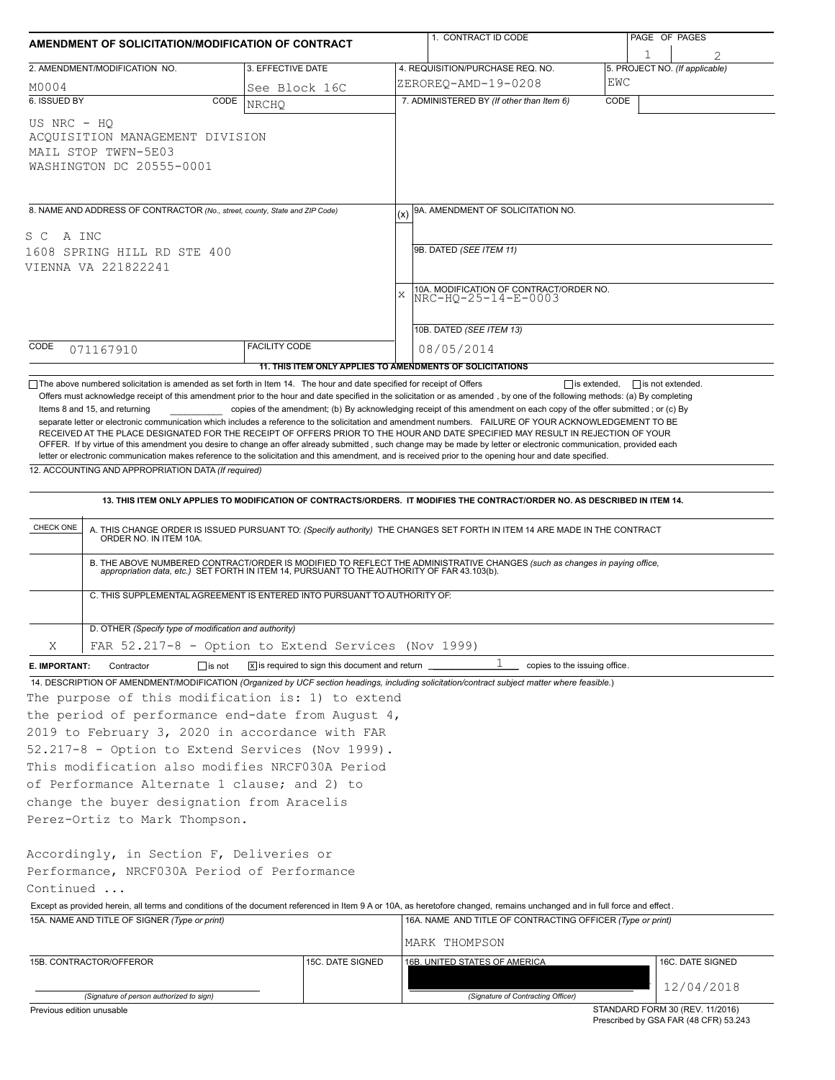| AMENDMENT OF SOLICITATION/MODIFICATION OF CONTRACT                                                                                                                                                                                                                                                                                                                                                                                                                                                                                                  |                      |                                                                            | 1. CONTRACT ID CODE                                                                                                                                                                                                                                                             |      |                                | PAGE OF PAGES                   |  |  |
|-----------------------------------------------------------------------------------------------------------------------------------------------------------------------------------------------------------------------------------------------------------------------------------------------------------------------------------------------------------------------------------------------------------------------------------------------------------------------------------------------------------------------------------------------------|----------------------|----------------------------------------------------------------------------|---------------------------------------------------------------------------------------------------------------------------------------------------------------------------------------------------------------------------------------------------------------------------------|------|--------------------------------|---------------------------------|--|--|
| 2. AMENDMENT/MODIFICATION NO.                                                                                                                                                                                                                                                                                                                                                                                                                                                                                                                       | 3. EFFECTIVE DATE    |                                                                            | 4. REQUISITION/PURCHASE REQ. NO.                                                                                                                                                                                                                                                |      | 5. PROJECT NO. (If applicable) |                                 |  |  |
| M0004                                                                                                                                                                                                                                                                                                                                                                                                                                                                                                                                               | See Block 16C        |                                                                            | ZEROREQ-AMD-19-0208                                                                                                                                                                                                                                                             | EWC  |                                |                                 |  |  |
| 6. ISSUED BY<br>CODE                                                                                                                                                                                                                                                                                                                                                                                                                                                                                                                                | <b>NRCHO</b>         |                                                                            | 7. ADMINISTERED BY (If other than Item 6)                                                                                                                                                                                                                                       | CODE |                                |                                 |  |  |
| US NRC - HO<br>ACQUISITION MANAGEMENT DIVISION<br>MAIL STOP TWFN-5E03<br>WASHINGTON DC 20555-0001                                                                                                                                                                                                                                                                                                                                                                                                                                                   |                      |                                                                            |                                                                                                                                                                                                                                                                                 |      |                                |                                 |  |  |
| 8. NAME AND ADDRESS OF CONTRACTOR (No., street, county, State and ZIP Code)                                                                                                                                                                                                                                                                                                                                                                                                                                                                         |                      | (x)                                                                        | 9A. AMENDMENT OF SOLICITATION NO.                                                                                                                                                                                                                                               |      |                                |                                 |  |  |
| A INC<br>S C<br>1608 SPRING HILL RD STE 400<br>VIENNA VA 221822241                                                                                                                                                                                                                                                                                                                                                                                                                                                                                  |                      |                                                                            | 9B. DATED (SEE ITEM 11)                                                                                                                                                                                                                                                         |      |                                |                                 |  |  |
|                                                                                                                                                                                                                                                                                                                                                                                                                                                                                                                                                     |                      | $\mathbf{x}$                                                               | 10A. MODIFICATION OF CONTRACT/ORDER NO.<br>NRC-HQ-25-14-E-0003<br>10B. DATED (SEE ITEM 13)                                                                                                                                                                                      |      |                                |                                 |  |  |
| CODE<br>071167910                                                                                                                                                                                                                                                                                                                                                                                                                                                                                                                                   | <b>FACILITY CODE</b> |                                                                            | 08/05/2014                                                                                                                                                                                                                                                                      |      |                                |                                 |  |  |
|                                                                                                                                                                                                                                                                                                                                                                                                                                                                                                                                                     |                      |                                                                            | 11. THIS ITEM ONLY APPLIES TO AMENDMENTS OF SOLICITATIONS                                                                                                                                                                                                                       |      |                                |                                 |  |  |
| RECEIVED AT THE PLACE DESIGNATED FOR THE RECEIPT OF OFFERS PRIOR TO THE HOUR AND DATE SPECIFIED MAY RESULT IN REJECTION OF YOUR<br>OFFER. If by virtue of this amendment you desire to change an offer already submitted, such change may be made by letter or electronic communication, provided each<br>letter or electronic communication makes reference to the solicitation and this amendment, and is received prior to the opening hour and date specified.<br>12. ACCOUNTING AND APPROPRIATION DATA (If required)<br>CHECK ONE              |                      |                                                                            | 13. THIS ITEM ONLY APPLIES TO MODIFICATION OF CONTRACTS/ORDERS. IT MODIFIES THE CONTRACT/ORDER NO. AS DESCRIBED IN ITEM 14.<br>A. THIS CHANGE ORDER IS ISSUED PURSUANT TO: (Specify authority) THE CHANGES SET FORTH IN ITEM 14 ARE MADE IN THE CONTRACT ORDER NO. IN ITEM 10A. |      |                                |                                 |  |  |
| C. THIS SUPPLEMENTAL AGREEMENT IS ENTERED INTO PURSUANT TO AUTHORITY OF:                                                                                                                                                                                                                                                                                                                                                                                                                                                                            |                      |                                                                            | B. THE ABOVE NUMBERED CONTRACT/ORDER IS MODIFIED TO REFLECT THE ADMINISTRATIVE CHANGES (such as changes in paying office,<br>appropriation data, etc.) SET FORTH IN ITEM 14, PURSUANT TO THE AUTHORITY OF FAR 43.103(b).                                                        |      |                                |                                 |  |  |
| D. OTHER (Specify type of modification and authority)                                                                                                                                                                                                                                                                                                                                                                                                                                                                                               |                      |                                                                            |                                                                                                                                                                                                                                                                                 |      |                                |                                 |  |  |
| FAR 52.217-8 - Option to Extend Services (Nov 1999)<br>Χ                                                                                                                                                                                                                                                                                                                                                                                                                                                                                            |                      |                                                                            |                                                                                                                                                                                                                                                                                 |      |                                |                                 |  |  |
| Contractor<br>$\Box$ is not<br>E. IMPORTANT:                                                                                                                                                                                                                                                                                                                                                                                                                                                                                                        |                      | $\overline{x}$ is required to sign this document and return $\overline{a}$ | 1<br>copies to the issuing office.                                                                                                                                                                                                                                              |      |                                |                                 |  |  |
| 14. DESCRIPTION OF AMENDMENT/MODIFICATION (Organized by UCF section headings, including solicitation/contract subject matter where feasible.)<br>The purpose of this modification is: 1) to extend<br>the period of performance end-date from August $4$ ,<br>2019 to February 3, 2020 in accordance with FAR<br>52.217-8 - Option to Extend Services (Nov 1999).<br>This modification also modifies NRCF030A Period<br>of Performance Alternate 1 clause; and 2) to<br>change the buyer designation from Aracelis<br>Perez-Ortiz to Mark Thompson. |                      |                                                                            |                                                                                                                                                                                                                                                                                 |      |                                |                                 |  |  |
| Accordingly, in Section F, Deliveries or<br>Performance, NRCF030A Period of Performance<br>Continued<br>Except as provided herein, all terms and conditions of the document referenced in Item 9 A or 10A, as heretofore changed, remains unchanged and in full force and effect.                                                                                                                                                                                                                                                                   |                      |                                                                            |                                                                                                                                                                                                                                                                                 |      |                                |                                 |  |  |
| 15A. NAME AND TITLE OF SIGNER (Type or print)                                                                                                                                                                                                                                                                                                                                                                                                                                                                                                       |                      |                                                                            | 16A. NAME AND TITLE OF CONTRACTING OFFICER (Type or print)<br>MARK THOMPSON                                                                                                                                                                                                     |      |                                |                                 |  |  |
| 15B. CONTRACTOR/OFFEROR                                                                                                                                                                                                                                                                                                                                                                                                                                                                                                                             |                      | 15C. DATE SIGNED                                                           | 16B. UNITED STATES OF AMERICA                                                                                                                                                                                                                                                   |      |                                | 16C. DATE SIGNED<br>12/04/2018  |  |  |
| (Signature of person authorized to sign)                                                                                                                                                                                                                                                                                                                                                                                                                                                                                                            |                      |                                                                            | (Signature of Contracting Officer)                                                                                                                                                                                                                                              |      |                                |                                 |  |  |
| Previous edition unusable                                                                                                                                                                                                                                                                                                                                                                                                                                                                                                                           |                      |                                                                            |                                                                                                                                                                                                                                                                                 |      |                                | STANDARD FORM 30 (REV. 11/2016) |  |  |

Prescribed by GSA FAR (48 CFR) 53.243